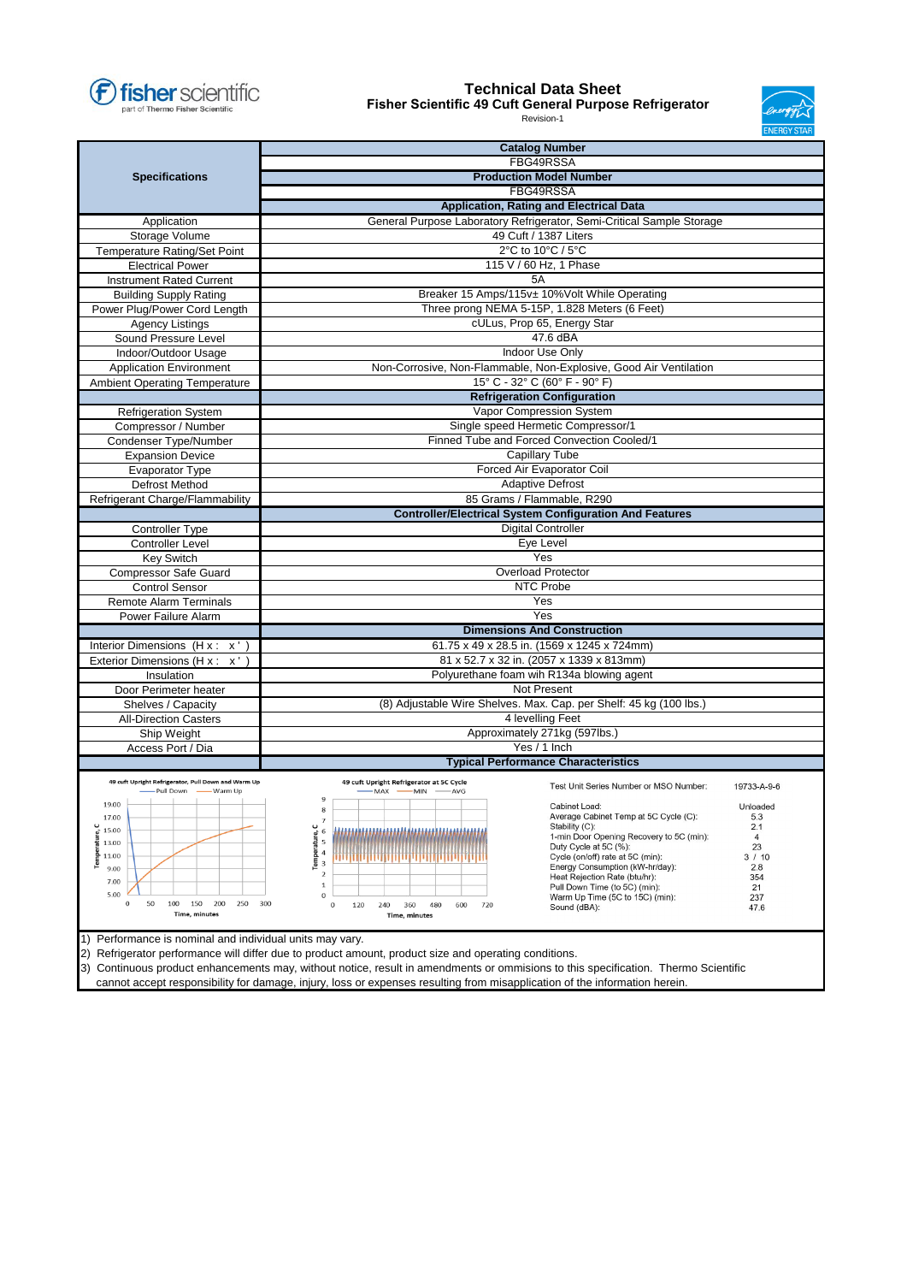

## **Technical Data Sheet**

**Fisher Scientific 49 Cuft General Purpose Refrigerator**



Revision-1

|                                                                              |                                                                                                       | <b>Catalog Number</b>                                                          |  |  |  |  |  |  |
|------------------------------------------------------------------------------|-------------------------------------------------------------------------------------------------------|--------------------------------------------------------------------------------|--|--|--|--|--|--|
|                                                                              | FBG49RSSA                                                                                             |                                                                                |  |  |  |  |  |  |
| <b>Specifications</b>                                                        | <b>Production Model Number</b>                                                                        |                                                                                |  |  |  |  |  |  |
|                                                                              |                                                                                                       | FBG49RSSA                                                                      |  |  |  |  |  |  |
|                                                                              | Application, Rating and Electrical Data                                                               |                                                                                |  |  |  |  |  |  |
| Application                                                                  |                                                                                                       | General Purpose Laboratory Refrigerator, Semi-Critical Sample Storage          |  |  |  |  |  |  |
| Storage Volume                                                               | 49 Cuft / 1387 Liters                                                                                 |                                                                                |  |  |  |  |  |  |
| Temperature Rating/Set Point                                                 | 2°C to 10°C / 5°C                                                                                     |                                                                                |  |  |  |  |  |  |
| <b>Electrical Power</b>                                                      | 115 V / 60 Hz, 1 Phase                                                                                |                                                                                |  |  |  |  |  |  |
| <b>Instrument Rated Current</b>                                              | 5A                                                                                                    |                                                                                |  |  |  |  |  |  |
| <b>Building Supply Rating</b>                                                | Breaker 15 Amps/115v± 10%Volt While Operating                                                         |                                                                                |  |  |  |  |  |  |
| Power Plug/Power Cord Length                                                 | Three prong NEMA 5-15P, 1.828 Meters (6 Feet)                                                         |                                                                                |  |  |  |  |  |  |
| <b>Agency Listings</b>                                                       | cULus, Prop 65, Energy Star                                                                           |                                                                                |  |  |  |  |  |  |
| Sound Pressure Level                                                         |                                                                                                       | 47.6 dBA                                                                       |  |  |  |  |  |  |
| Indoor/Outdoor Usage                                                         |                                                                                                       | Indoor Use Only                                                                |  |  |  |  |  |  |
| <b>Application Environment</b>                                               |                                                                                                       | Non-Corrosive, Non-Flammable, Non-Explosive, Good Air Ventilation              |  |  |  |  |  |  |
| <b>Ambient Operating Temperature</b>                                         |                                                                                                       | 15° C - 32° C (60° F - 90° F)                                                  |  |  |  |  |  |  |
|                                                                              |                                                                                                       | <b>Refrigeration Configuration</b>                                             |  |  |  |  |  |  |
| <b>Refrigeration System</b>                                                  |                                                                                                       | Vapor Compression System                                                       |  |  |  |  |  |  |
| Compressor / Number                                                          |                                                                                                       | Single speed Hermetic Compressor/1                                             |  |  |  |  |  |  |
| Condenser Type/Number                                                        |                                                                                                       | Finned Tube and Forced Convection Cooled/1                                     |  |  |  |  |  |  |
| <b>Expansion Device</b>                                                      |                                                                                                       | Capillary Tube                                                                 |  |  |  |  |  |  |
| <b>Evaporator Type</b>                                                       |                                                                                                       | Forced Air Evaporator Coil                                                     |  |  |  |  |  |  |
| <b>Defrost Method</b>                                                        |                                                                                                       | <b>Adaptive Defrost</b>                                                        |  |  |  |  |  |  |
| Refrigerant Charge/Flammability                                              |                                                                                                       | 85 Grams / Flammable, R290                                                     |  |  |  |  |  |  |
|                                                                              | <b>Controller/Electrical System Configuration And Features</b>                                        |                                                                                |  |  |  |  |  |  |
| <b>Controller Type</b>                                                       | <b>Digital Controller</b>                                                                             |                                                                                |  |  |  |  |  |  |
| <b>Controller Level</b>                                                      | Eye Level                                                                                             |                                                                                |  |  |  |  |  |  |
| <b>Key Switch</b>                                                            |                                                                                                       | Yes                                                                            |  |  |  |  |  |  |
| <b>Compressor Safe Guard</b>                                                 |                                                                                                       | <b>Overload Protector</b>                                                      |  |  |  |  |  |  |
| <b>Control Sensor</b>                                                        |                                                                                                       | NTC Probe                                                                      |  |  |  |  |  |  |
| <b>Remote Alarm Terminals</b>                                                |                                                                                                       | Yes                                                                            |  |  |  |  |  |  |
| Power Failure Alarm                                                          |                                                                                                       | Yes                                                                            |  |  |  |  |  |  |
|                                                                              |                                                                                                       | <b>Dimensions And Construction</b>                                             |  |  |  |  |  |  |
| Interior Dimensions $(H \times Y \times O)$                                  | 61.75 x 49 x 28.5 in. (1569 x 1245 x 724mm)                                                           |                                                                                |  |  |  |  |  |  |
| Exterior Dimensions (H x Y x Ö)                                              | 81 x 52.7 x 32 in. (2057 x 1339 x 813mm)                                                              |                                                                                |  |  |  |  |  |  |
| Insulation                                                                   | Polyurethane foam win R134a blowing agent                                                             |                                                                                |  |  |  |  |  |  |
| Door Perimeter heater                                                        | Not Present                                                                                           |                                                                                |  |  |  |  |  |  |
| Shelves / Capacity                                                           |                                                                                                       | (8) Adjustable Wire Shelves. Max. Cap. per Shelf: 45 kg (100 lbs.)             |  |  |  |  |  |  |
| <b>All-Direction Casters</b>                                                 |                                                                                                       | 4 levelling Feet                                                               |  |  |  |  |  |  |
| Ship Weight                                                                  | Approximately 271kg (597lbs.)                                                                         |                                                                                |  |  |  |  |  |  |
| Access Port / Dia                                                            |                                                                                                       | Yes / 1 Inch                                                                   |  |  |  |  |  |  |
|                                                                              |                                                                                                       | <b>Typical Performance Characteristics</b>                                     |  |  |  |  |  |  |
|                                                                              |                                                                                                       |                                                                                |  |  |  |  |  |  |
| 49 cuft Upright Refrigerator, Pull Down and Warm Up<br>- Pull Down - Warm Up | 49 cuft Upright Refrigerator at 5C Cycle<br>-MAX -MIN -AVG                                            | Test Unit Series Number or MSO Number:<br>19733-A-9-6                          |  |  |  |  |  |  |
| 19.00                                                                        | $\,9$                                                                                                 | Cabinet Load:<br>Unloaded                                                      |  |  |  |  |  |  |
| 17.00                                                                        | 8                                                                                                     | Average Cabinet Temp at 5C Cycle (C):<br>53                                    |  |  |  |  |  |  |
| Temperature, C<br>15.00                                                      | 6                                                                                                     | Stability (C):<br>2.1<br>1-min Door Opening Recovery to 5C (min):<br>4         |  |  |  |  |  |  |
| 13.00                                                                        | Temperature, C<br>5                                                                                   | Duty Cycle at 5C (%):<br>23                                                    |  |  |  |  |  |  |
| 11.00                                                                        | 4<br>3                                                                                                | Cycle (on/off) rate at 5C (min):<br>3 / 10                                     |  |  |  |  |  |  |
| 9.00                                                                         | $\overline{2}$                                                                                        | Energy Consumption (kW-hr/day):<br>2.8<br>Heat Rejection Rate (btu/hr):<br>354 |  |  |  |  |  |  |
| 7.00<br>5.00                                                                 | $\mathbf{1}$                                                                                          | Pull Down Time (to 5C) (min):<br>21                                            |  |  |  |  |  |  |
| 50<br>100<br>150<br>200<br>250<br>$\circ$                                    | $\bf{0}$<br>300<br>0<br>120<br>240<br>360<br>480<br>600<br>720                                        | Warm Up Time (5C to 15C) (min):<br>237<br>Sound (dBA):<br>47.6                 |  |  |  |  |  |  |
| <b>Time, minutes</b>                                                         | <b>Time, minutes</b>                                                                                  |                                                                                |  |  |  |  |  |  |
|                                                                              |                                                                                                       |                                                                                |  |  |  |  |  |  |
| Performance is nominal and individual units may vary.<br>1)                  |                                                                                                       |                                                                                |  |  |  |  |  |  |
|                                                                              | 2) Refrigerator performance will differ due to product amount, product size and operating conditions. |                                                                                |  |  |  |  |  |  |

3) Continuous product enhancements may, without notice, result in amendments or ommisions to this specification. Thermo Scientific

cannot accept responsibility for damage, injury, loss or expenses resulting from misapplication of the information herein.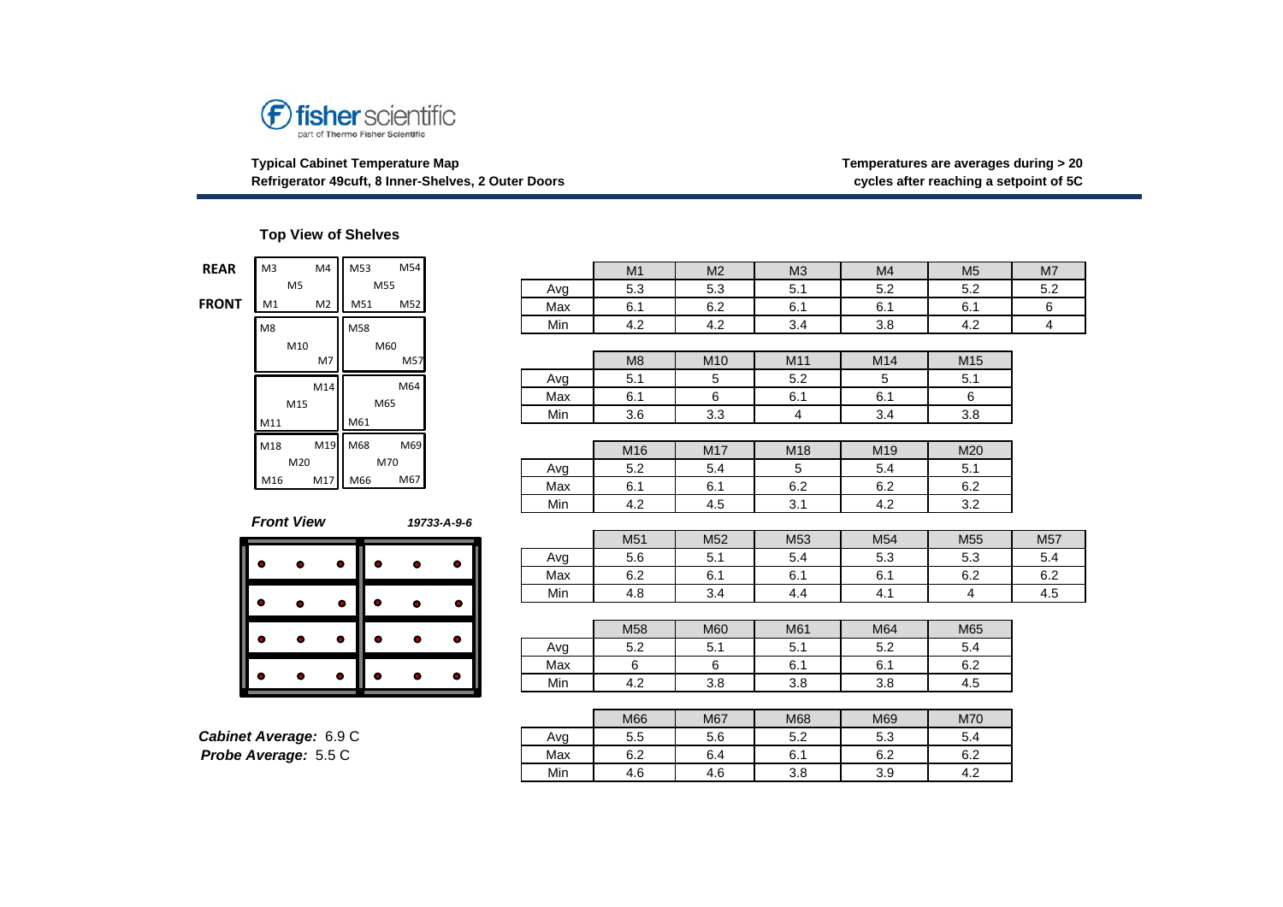

**Typical Cabinet Temperature Map Temperatures are averages during > 20 Refrigerator 49cuft, 8 Inner-Shelves, 2 Outer Doors** 

## **Top View of Shelves**

| <b>REAR</b>  | M3                |                | M4             |           |           | M53 M54   |             |           |
|--------------|-------------------|----------------|----------------|-----------|-----------|-----------|-------------|-----------|
|              |                   | M <sub>5</sub> |                |           | M55       |           |             |           |
| <b>FRONT</b> | M1                |                | M <sub>2</sub> |           |           | M51 M52   |             |           |
|              | M8                |                |                | M58       |           |           |             |           |
|              |                   | M10            |                |           | M60       |           |             |           |
|              |                   |                | M7             |           |           | M57       |             |           |
|              |                   |                | M14            |           |           | M64       |             |           |
|              |                   | M15            |                |           | M65       |           |             |           |
|              | M11               |                |                | M61       |           |           |             |           |
|              | M18               |                | M19            | M68       |           | M69       |             |           |
|              |                   | M20            |                |           | M70       |           |             |           |
|              | M16               |                | M17            |           | M66       | M67       |             |           |
|              |                   |                |                |           |           |           |             |           |
|              | <b>Front View</b> |                |                |           |           |           | 19733-A-9-6 |           |
|              |                   |                |                |           |           |           |             |           |
|              | Ď                 | $\bullet$      |                | $\bullet$ | ۰         | $\bullet$ |             | $\bullet$ |
|              | D                 |                |                | 0         | ٥         | ۰         |             |           |
|              |                   |                |                |           |           |           |             |           |
|              | ŏ                 |                |                | $\bullet$ | $\bullet$ | ۰         |             | $\bullet$ |
|              |                   |                |                |           |           |           |             |           |
|              |                   |                |                |           |           |           |             |           |

| Cabinet Average: 6.9 C      |  |
|-----------------------------|--|
| <b>Probe Average: 5.5 C</b> |  |

| <b>REAR</b>  | M4<br>M <sub>3</sub>   | M54<br>M53                          |             |     | M1             | M <sub>2</sub>  | M <sub>3</sub> | M4  | M <sub>5</sub>  | M <sub>7</sub>          |
|--------------|------------------------|-------------------------------------|-------------|-----|----------------|-----------------|----------------|-----|-----------------|-------------------------|
|              | M <sub>5</sub>         | M55                                 |             | Avg | 5.3            | 5.3             | 5.1            | 5.2 | 5.2             | 5.2                     |
| <b>FRONT</b> | M <sub>2</sub><br>M1   | M52<br>M51                          |             | Max | 6.1            | 6.2             | 6.1            | 6.1 | 6.1             | 6                       |
|              | M8                     | M58                                 |             | Min | 4.2            | 4.2             | 3.4            | 3.8 | 4.2             | $\overline{\mathbf{4}}$ |
|              | M10                    | M60                                 |             |     |                |                 |                |     |                 |                         |
|              | M7                     | M57                                 |             |     | M <sub>8</sub> | M10             | M11            | M14 | M <sub>15</sub> |                         |
|              | M14                    | M64                                 |             | Avg | 5.1            | 5               | 5.2            | 5   | 5.1             |                         |
|              | M15                    | M65                                 |             | Max | 6.1            | 6               | 6.1            | 6.1 | 6               |                         |
|              | M11                    | M61                                 |             | Min | 3.6            | 3.3             | 4              | 3.4 | 3.8             |                         |
|              |                        |                                     |             |     |                |                 |                |     |                 |                         |
|              | M18                    | M69<br>$M19$ M68                    |             |     | M16            | M17             | M18            | M19 | M20             |                         |
|              | M20                    | M70                                 |             | Avg | 5.2            | 5.4             | 5              | 5.4 | 5.1             |                         |
|              | M17<br>M16             | M66<br>M67                          |             | Max | 6.1            | 6.1             | 6.2            | 6.2 | 6.2             |                         |
|              |                        |                                     |             | Min | 4.2            | 4.5             | 3.1            | 4.2 | 3.2             |                         |
|              | <b>Front View</b>      |                                     | 19733-A-9-6 |     |                |                 |                |     |                 |                         |
|              |                        |                                     |             |     | M51            | M <sub>52</sub> | M53            | M54 | M <sub>55</sub> | M57                     |
|              | 0                      | ۰                                   | ۰           | Avg | 5.6            | 5.1             | 5.4            | 5.3 | 5.3             | 5.4                     |
|              |                        |                                     |             | Max | 6.2            | 6.1             | 6.1            | 6.1 | 6.2             | 6.2                     |
|              | ο<br>$\bullet$         | ۰<br>0                              | ۰           | Min | 4.8            | 3.4             | 4.4            | 4.1 | 4               | 4.5                     |
|              |                        |                                     |             |     |                |                 |                |     |                 |                         |
|              | $\bullet$              | $\bullet$<br>$\bullet$<br>$\bullet$ | ۰           |     | M58            | M60             | M61            | M64 | M65             |                         |
|              |                        |                                     |             | Avg | 5.2            | 5.1             | 5.1            | 5.2 | 5.4             |                         |
|              |                        | ۰<br>$\bullet$<br>۰                 |             | Max | 6              | 6               | 6.1            | 6.1 | 6.2             |                         |
|              |                        |                                     | $\bullet$   | Min | 4.2            | 3.8             | 3.8            | 3.8 | 4.5             |                         |
|              |                        |                                     |             |     |                |                 |                |     |                 |                         |
|              |                        |                                     |             |     | M66            | M67             | M68            | M69 | M70             |                         |
|              | Cabinet Average: 6.9 C |                                     |             | Avg | 5.5            | 5.6             | 5.2            | 5.3 | 5.4             |                         |
|              | Probe Average: 5.5 C   |                                     |             | Max | 6.2            | 6.4             | 6.1            | 6.2 | 6.2             |                         |

Min | 4.6 | 4.6 | 3.8 | 3.9 | 4.2